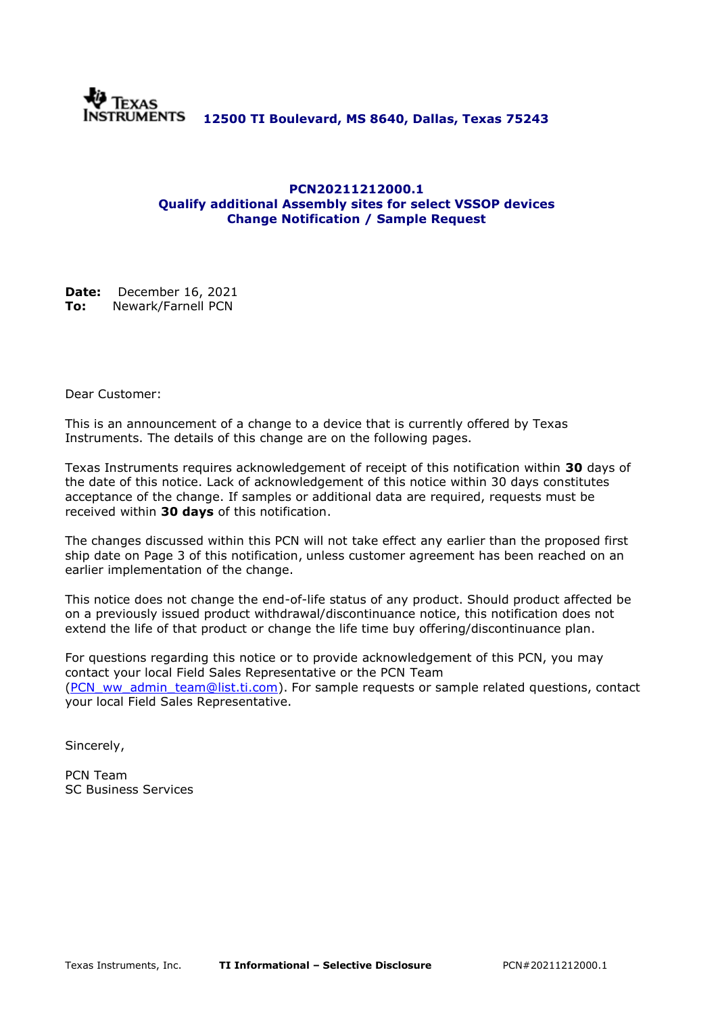

#### **PCN20211212000.1 Qualify additional Assembly sites for select VSSOP devices Change Notification / Sample Request**

**Date:** December 16, 2021 **To:** Newark/Farnell PCN

Dear Customer:

This is an announcement of a change to a device that is currently offered by Texas Instruments. The details of this change are on the following pages.

Texas Instruments requires acknowledgement of receipt of this notification within **30** days of the date of this notice. Lack of acknowledgement of this notice within 30 days constitutes acceptance of the change. If samples or additional data are required, requests must be received within **30 days** of this notification.

The changes discussed within this PCN will not take effect any earlier than the proposed first ship date on Page 3 of this notification, unless customer agreement has been reached on an earlier implementation of the change.

This notice does not change the end-of-life status of any product. Should product affected be on a previously issued product withdrawal/discontinuance notice, this notification does not extend the life of that product or change the life time buy offering/discontinuance plan.

For questions regarding this notice or to provide acknowledgement of this PCN, you may contact your local Field Sales Representative or the PCN Team [\(PCN\\_ww\\_admin\\_team@list.ti.com\)](mailto:PCN_ww_admin_team@list.ti.com). For sample requests or sample related questions, contact your local Field Sales Representative.

Sincerely,

PCN Team SC Business Services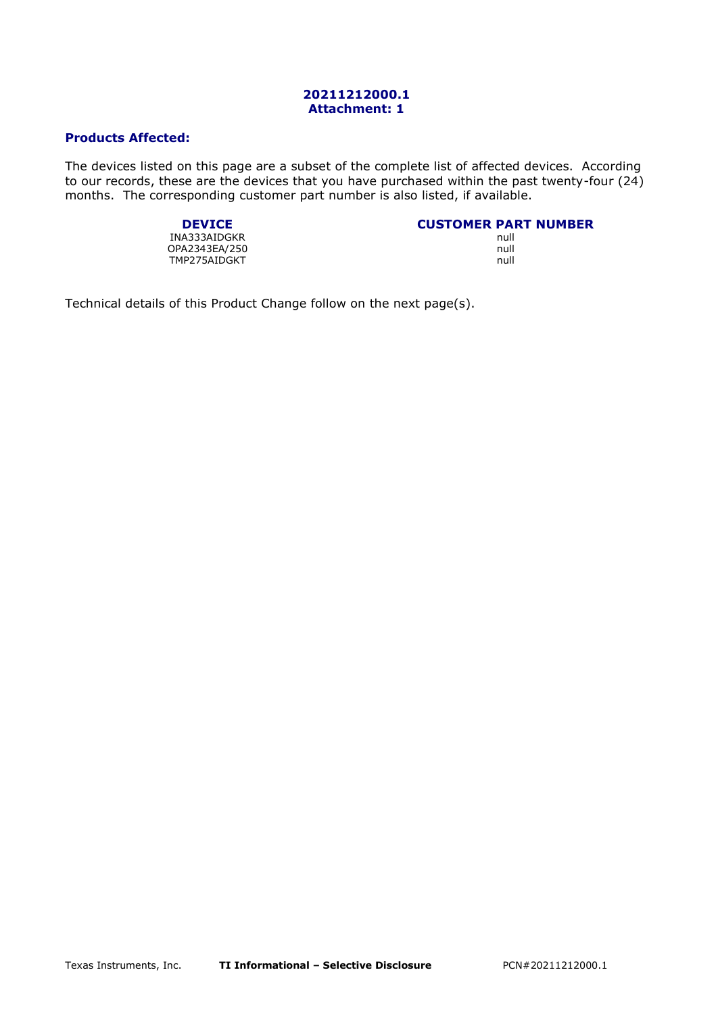#### **20211212000.1 Attachment: 1**

#### **Products Affected:**

The devices listed on this page are a subset of the complete list of affected devices. According to our records, these are the devices that you have purchased within the past twenty-four (24) months. The corresponding customer part number is also listed, if available.

**DEVICE CUSTOMER PART NUMBER**

INA333AIDGKR null and the state of the state of the state of the state of the state of the state of the state o OPA2343EA/250 null<br>TMP275AIDGKT null the state of the state of the state of the state of the state of the state of the state of t TMP275AIDGKT

Technical details of this Product Change follow on the next page(s).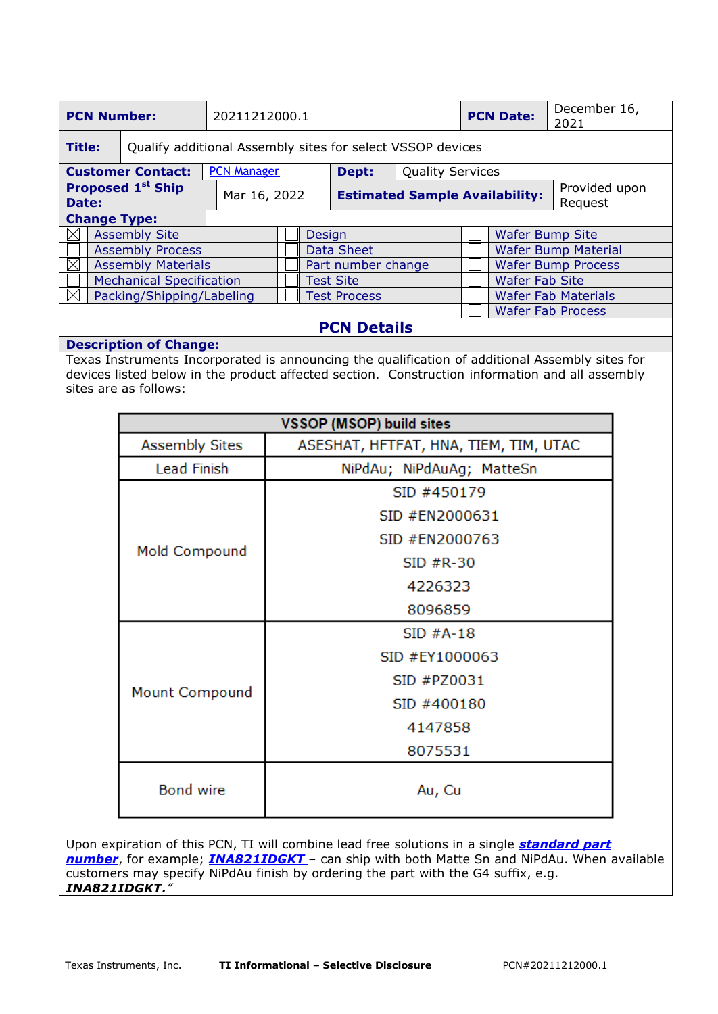| <b>PCN Number:</b>                                                   |  |                          | 20211212000.1 |                    |                     |                                       |       | <b>PCN Date:</b>        | December 16,<br>2021     |                            |                           |  |
|----------------------------------------------------------------------|--|--------------------------|---------------|--------------------|---------------------|---------------------------------------|-------|-------------------------|--------------------------|----------------------------|---------------------------|--|
| Title:<br>Qualify additional Assembly sites for select VSSOP devices |  |                          |               |                    |                     |                                       |       |                         |                          |                            |                           |  |
|                                                                      |  | <b>Customer Contact:</b> |               | <b>PCN Manager</b> |                     |                                       | Dept: | <b>Quality Services</b> |                          |                            |                           |  |
| <b>Proposed 1st Ship</b><br>Date:                                    |  |                          | Mar 16, 2022  |                    |                     | <b>Estimated Sample Availability:</b> |       |                         | Provided upon<br>Request |                            |                           |  |
| <b>Change Type:</b>                                                  |  |                          |               |                    |                     |                                       |       |                         |                          |                            |                           |  |
| $\bowtie$                                                            |  | <b>Assembly Site</b>     |               |                    |                     | <b>Design</b>                         |       |                         |                          |                            | <b>Wafer Bump Site</b>    |  |
|                                                                      |  | <b>Assembly Process</b>  |               |                    |                     | <b>Data Sheet</b>                     |       |                         |                          | <b>Wafer Bump Material</b> |                           |  |
| $\boxtimes$<br><b>Assembly Materials</b>                             |  |                          |               |                    |                     | Part number change                    |       |                         |                          |                            | <b>Wafer Bump Process</b> |  |
| <b>Mechanical Specification</b>                                      |  |                          |               |                    |                     | <b>Test Site</b>                      |       |                         |                          | <b>Wafer Fab Site</b>      |                           |  |
| M<br>Packing/Shipping/Labeling                                       |  |                          |               |                    | <b>Test Process</b> |                                       |       |                         |                          | <b>Wafer Fab Materials</b> |                           |  |
|                                                                      |  |                          |               |                    |                     |                                       |       |                         |                          | <b>Wafer Fab Process</b>   |                           |  |
| <b>PCN Details</b>                                                   |  |                          |               |                    |                     |                                       |       |                         |                          |                            |                           |  |

### **Description of Change:**

Texas Instruments Incorporated is announcing the qualification of additional Assembly sites for devices listed below in the product affected section. Construction information and all assembly sites are as follows:

| <b>VSSOP (MSOP) build sites</b> |                                       |  |  |  |
|---------------------------------|---------------------------------------|--|--|--|
| <b>Assembly Sites</b>           | ASESHAT, HFTFAT, HNA, TIEM, TIM, UTAC |  |  |  |
| Lead Finish                     | NiPdAu; NiPdAuAg; MatteSn             |  |  |  |
|                                 | SID #450179                           |  |  |  |
|                                 | SID #EN2000631                        |  |  |  |
|                                 | SID #EN2000763                        |  |  |  |
| Mold Compound                   | $SID$ $#R-30$                         |  |  |  |
|                                 | 4226323                               |  |  |  |
|                                 | 8096859                               |  |  |  |
|                                 | $SID$ #A-18                           |  |  |  |
|                                 | SID #EY1000063                        |  |  |  |
|                                 | SID #PZ0031                           |  |  |  |
| Mount Compound                  | SID #400180                           |  |  |  |
|                                 | 4147858                               |  |  |  |
|                                 | 8075531                               |  |  |  |
| <b>Bond wire</b>                | Au, Cu                                |  |  |  |

Upon expiration of this PCN, TI will combine lead free solutions in a single *standard part number*, for example; *INA821IDGKT* – can ship with both Matte Sn and NiPdAu. When available customers may specify NiPdAu finish by ordering the part with the G4 suffix, e.g. *INA821IDGKT***.**"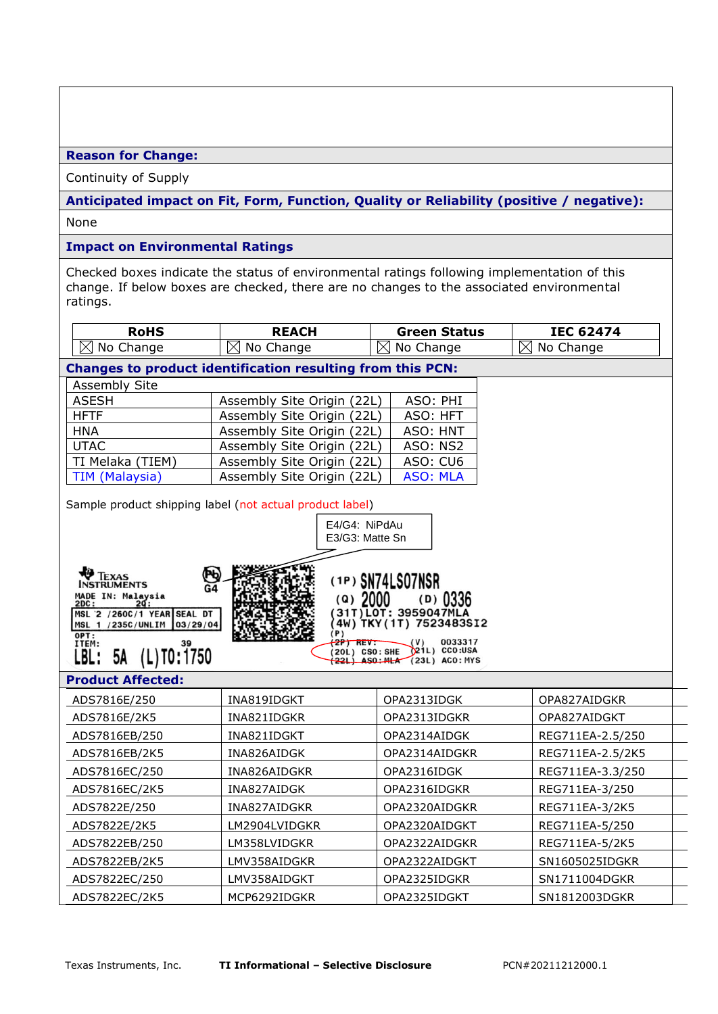**Reason for Change:**

Continuity of Supply

**Anticipated impact on Fit, Form, Function, Quality or Reliability (positive / negative):**

None

### **Impact on Environmental Ratings**

Checked boxes indicate the status of environmental ratings following implementation of this change. If below boxes are checked, there are no changes to the associated environmental ratings.

| <b>RoHS</b>                                                                           | <b>REACH</b>                                                      | <b>Green Status</b>                                | <b>IEC 62474</b>      |  |  |  |
|---------------------------------------------------------------------------------------|-------------------------------------------------------------------|----------------------------------------------------|-----------------------|--|--|--|
| $\boxtimes$ No Change                                                                 | $\boxtimes$ No Change                                             | ⊠<br>No Change                                     | $\boxtimes$ No Change |  |  |  |
|                                                                                       | <b>Changes to product identification resulting from this PCN:</b> |                                                    |                       |  |  |  |
| Assembly Site                                                                         |                                                                   |                                                    |                       |  |  |  |
| <b>ASESH</b>                                                                          | Assembly Site Origin (22L)                                        | ASO: PHI                                           |                       |  |  |  |
| <b>HFTF</b>                                                                           | Assembly Site Origin (22L)<br>ASO: HFT                            |                                                    |                       |  |  |  |
| <b>HNA</b>                                                                            | Assembly Site Origin (22L)                                        | ASO: HNT                                           |                       |  |  |  |
| <b>UTAC</b>                                                                           | Assembly Site Origin (22L)                                        | ASO: NS2                                           |                       |  |  |  |
| TI Melaka (TIEM)                                                                      | Assembly Site Origin (22L)                                        | ASO: CU6                                           |                       |  |  |  |
| <b>TIM (Malaysia)</b>                                                                 | Assembly Site Origin (22L)                                        | <b>ASO: MLA</b>                                    |                       |  |  |  |
|                                                                                       | Sample product shipping label (not actual product label)          |                                                    |                       |  |  |  |
|                                                                                       | E4/G4: NiPdAu                                                     |                                                    |                       |  |  |  |
|                                                                                       | E3/G3: Matte Sn                                                   |                                                    |                       |  |  |  |
|                                                                                       |                                                                   |                                                    |                       |  |  |  |
| <b><i>FEXAS</i></b><br>Þь                                                             |                                                                   |                                                    |                       |  |  |  |
| <b>INSTRUMENTS</b><br>G4                                                              |                                                                   | (1P) SN74LS07NSR                                   |                       |  |  |  |
| MADE IN: Malaysia<br>$(9)$ 2000<br>$(D)$ 0336<br>2ď:<br>2DC :<br>31T) LOT: 3959047MLA |                                                                   |                                                    |                       |  |  |  |
| MSL '2 /260C/1 YEAR SEAL DT<br>MSL 1 /235C/UNLIM<br>03/29/04                          |                                                                   | 4W) TKY(1T) 7523483SI2                             |                       |  |  |  |
| OPT:<br>39                                                                            | (P)<br>2P) REV:                                                   | 0033317                                            |                       |  |  |  |
| ITEM:<br>$(L)$ TO: 1750<br>LBL:<br>5A                                                 | (20L) CSO: SHE                                                    | (21L) CCO:USA<br>$(221)$ ASO: MLA $(23L)$ ACO: MYS |                       |  |  |  |
|                                                                                       |                                                                   |                                                    |                       |  |  |  |
| <b>Product Affected:</b>                                                              |                                                                   |                                                    |                       |  |  |  |
| ADS7816E/250                                                                          | INA819IDGKT                                                       | OPA2313IDGK                                        | OPA827AIDGKR          |  |  |  |
| ADS7816E/2K5                                                                          | INA821IDGKR                                                       | OPA2313IDGKR                                       | OPA827AIDGKT          |  |  |  |
| ADS7816EB/250                                                                         | INA821IDGKT                                                       | OPA2314AIDGK                                       | REG711EA-2.5/250      |  |  |  |
| ADS7816EB/2K5                                                                         | INA826AIDGK                                                       | OPA2314AIDGKR                                      | REG711EA-2.5/2K5      |  |  |  |
| ADS7816EC/250                                                                         | INA826AIDGKR                                                      | OPA2316IDGK                                        | REG711EA-3.3/250      |  |  |  |
| ADS7816EC/2K5                                                                         | INA827AIDGK                                                       | OPA2316IDGKR                                       | REG711EA-3/250        |  |  |  |
| ADS7822E/250                                                                          | INA827AIDGKR                                                      | OPA2320AIDGKR                                      | REG711EA-3/2K5        |  |  |  |
| ADS7822E/2K5                                                                          | LM2904LVIDGKR                                                     | OPA2320AIDGKT                                      | REG711EA-5/250        |  |  |  |
| ADS7822EB/250                                                                         | LM358LVIDGKR                                                      | OPA2322AIDGKR                                      | REG711EA-5/2K5        |  |  |  |

ADS7822EB/2K5 | LMV358AIDGKR | OPA2322AIDGKT | SN1605025IDGKR ADS7822EC/250 | LMV358AIDGKT | OPA2325IDGKR | SN1711004DGKR ADS7822EC/2K5 MCP6292IDGKR OPA2325IDGKT SN1812003DGKR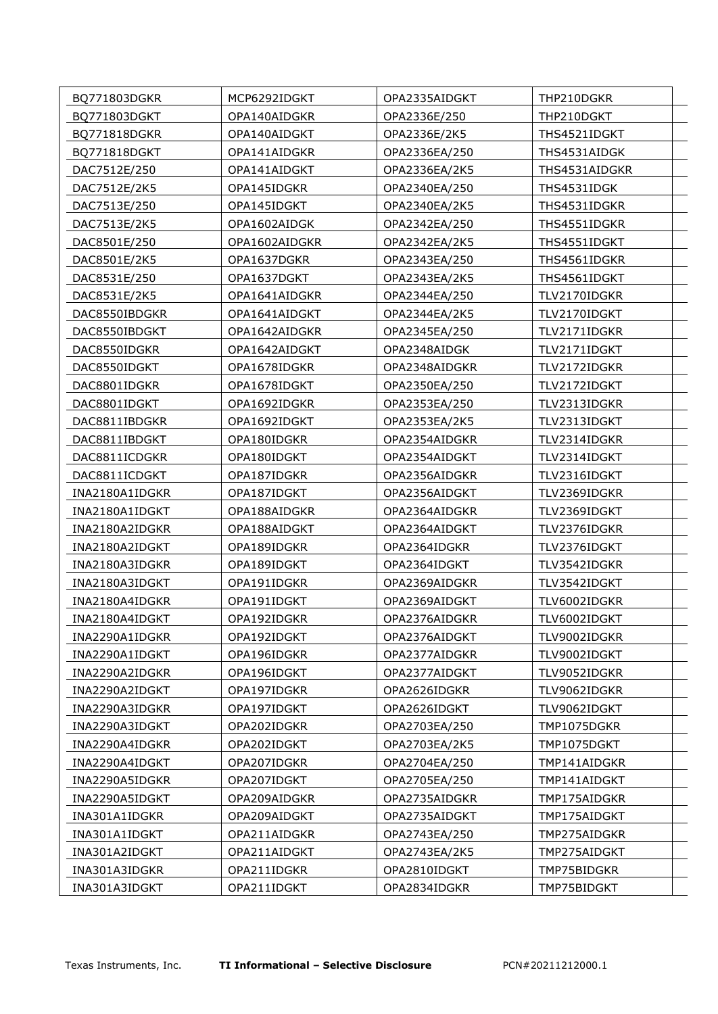| BQ771803DGKR   | MCP6292IDGKT  | OPA2335AIDGKT | THP210DGKR    |
|----------------|---------------|---------------|---------------|
| BQ771803DGKT   | OPA140AIDGKR  | OPA2336E/250  | THP210DGKT    |
| BQ771818DGKR   | OPA140AIDGKT  | OPA2336E/2K5  | THS4521IDGKT  |
| BQ771818DGKT   | OPA141AIDGKR  | OPA2336EA/250 | THS4531AIDGK  |
| DAC7512E/250   | OPA141AIDGKT  | OPA2336EA/2K5 | THS4531AIDGKR |
| DAC7512E/2K5   | OPA145IDGKR   | OPA2340EA/250 | THS4531IDGK   |
| DAC7513E/250   | OPA145IDGKT   | OPA2340EA/2K5 | THS4531IDGKR  |
| DAC7513E/2K5   | OPA1602AIDGK  | OPA2342EA/250 | THS4551IDGKR  |
| DAC8501E/250   | OPA1602AIDGKR | OPA2342EA/2K5 | THS4551IDGKT  |
| DAC8501E/2K5   | OPA1637DGKR   | OPA2343EA/250 | THS4561IDGKR  |
| DAC8531E/250   | OPA1637DGKT   | OPA2343EA/2K5 | THS4561IDGKT  |
| DAC8531E/2K5   | OPA1641AIDGKR | OPA2344EA/250 | TLV2170IDGKR  |
| DAC8550IBDGKR  | OPA1641AIDGKT | OPA2344EA/2K5 | TLV2170IDGKT  |
| DAC8550IBDGKT  | OPA1642AIDGKR | OPA2345EA/250 | TLV2171IDGKR  |
| DAC8550IDGKR   | OPA1642AIDGKT | OPA2348AIDGK  | TLV2171IDGKT  |
| DAC8550IDGKT   | OPA1678IDGKR  | OPA2348AIDGKR | TLV2172IDGKR  |
| DAC8801IDGKR   | OPA1678IDGKT  | OPA2350EA/250 | TLV2172IDGKT  |
| DAC8801IDGKT   | OPA1692IDGKR  | OPA2353EA/250 | TLV2313IDGKR  |
| DAC8811IBDGKR  | OPA1692IDGKT  | OPA2353EA/2K5 | TLV2313IDGKT  |
| DAC8811IBDGKT  | OPA180IDGKR   | OPA2354AIDGKR | TLV2314IDGKR  |
| DAC8811ICDGKR  | OPA180IDGKT   | OPA2354AIDGKT | TLV2314IDGKT  |
| DAC8811ICDGKT  | OPA187IDGKR   | OPA2356AIDGKR | TLV2316IDGKT  |
| INA2180A1IDGKR | OPA187IDGKT   | OPA2356AIDGKT | TLV2369IDGKR  |
| INA2180A1IDGKT | OPA188AIDGKR  | OPA2364AIDGKR | TLV2369IDGKT  |
| INA2180A2IDGKR | OPA188AIDGKT  | OPA2364AIDGKT | TLV2376IDGKR  |
| INA2180A2IDGKT | OPA189IDGKR   | OPA2364IDGKR  | TLV2376IDGKT  |
| INA2180A3IDGKR | OPA189IDGKT   | OPA2364IDGKT  | TLV3542IDGKR  |
| INA2180A3IDGKT | OPA191IDGKR   | OPA2369AIDGKR | TLV3542IDGKT  |
| INA2180A4IDGKR | OPA191IDGKT   | OPA2369AIDGKT | TLV6002IDGKR  |
| INA2180A4IDGKT | OPA192IDGKR   | OPA2376AIDGKR | TLV6002IDGKT  |
| INA2290A1IDGKR | OPA192IDGKT   | OPA2376AIDGKT | TLV9002IDGKR  |
| INA2290A1IDGKT | OPA196IDGKR   | OPA2377AIDGKR | TLV9002IDGKT  |
| INA2290A2IDGKR | OPA196IDGKT   | OPA2377AIDGKT | TLV9052IDGKR  |
| INA2290A2IDGKT | OPA197IDGKR   | OPA2626IDGKR  | TLV9062IDGKR  |
| INA2290A3IDGKR | OPA197IDGKT   | OPA2626IDGKT  | TLV9062IDGKT  |
| INA2290A3IDGKT | OPA202IDGKR   | OPA2703EA/250 | TMP1075DGKR   |
| INA2290A4IDGKR | OPA202IDGKT   | OPA2703EA/2K5 | TMP1075DGKT   |
| INA2290A4IDGKT | OPA207IDGKR   | OPA2704EA/250 | TMP141AIDGKR  |
| INA2290A5IDGKR | OPA207IDGKT   | OPA2705EA/250 | TMP141AIDGKT  |
| INA2290A5IDGKT | OPA209AIDGKR  | OPA2735AIDGKR | TMP175AIDGKR  |
| INA301A1IDGKR  | OPA209AIDGKT  | OPA2735AIDGKT | TMP175AIDGKT  |
| INA301A1IDGKT  | OPA211AIDGKR  | OPA2743EA/250 | TMP275AIDGKR  |
| INA301A2IDGKT  | OPA211AIDGKT  | OPA2743EA/2K5 | TMP275AIDGKT  |
| INA301A3IDGKR  | OPA211IDGKR   | OPA2810IDGKT  | TMP75BIDGKR   |
| INA301A3IDGKT  | OPA211IDGKT   | OPA2834IDGKR  | TMP75BIDGKT   |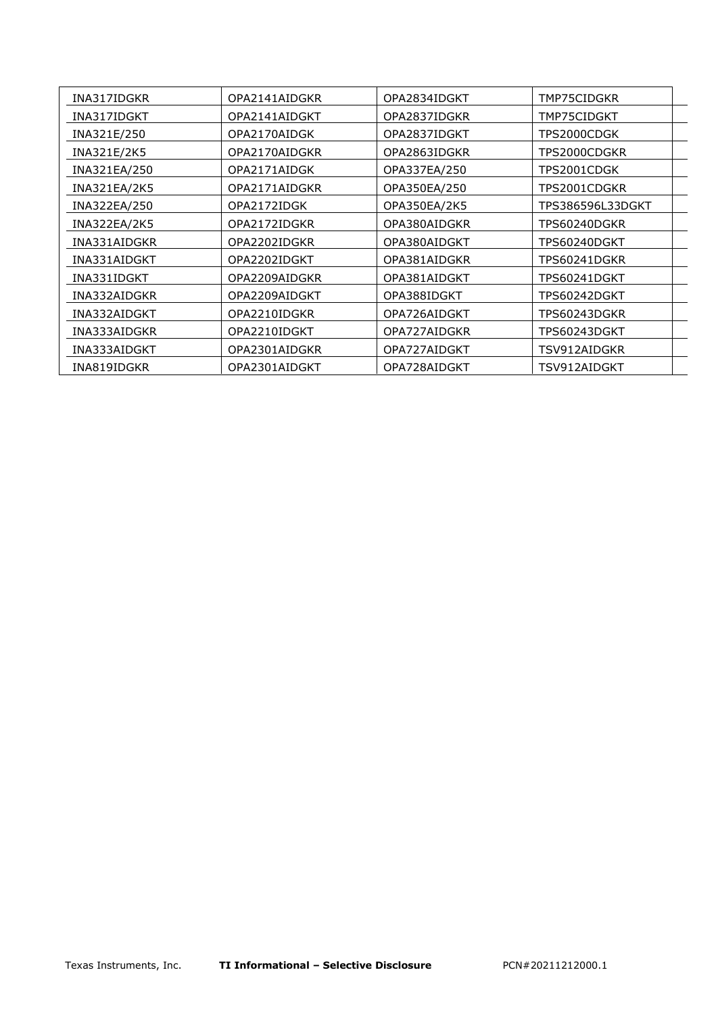| INA317IDGKR  | OPA2141AIDGKR | OPA2834IDGKT | TMP75CIDGKR      |
|--------------|---------------|--------------|------------------|
| INA317IDGKT  | OPA2141AIDGKT | OPA2837IDGKR | TMP75CIDGKT      |
| INA321E/250  | OPA2170AIDGK  | OPA2837IDGKT | TPS2000CDGK      |
| INA321E/2K5  | OPA2170AIDGKR | OPA2863IDGKR | TPS2000CDGKR     |
| INA321EA/250 | OPA2171AIDGK  | OPA337EA/250 | TPS2001CDGK      |
| INA321EA/2K5 | OPA2171AIDGKR | OPA350EA/250 | TPS2001CDGKR     |
| INA322EA/250 | OPA2172IDGK   | OPA350EA/2K5 | TPS386596L33DGKT |
| INA322EA/2K5 | OPA2172IDGKR  | OPA380AIDGKR | TPS60240DGKR     |
| INA331AIDGKR | OPA2202IDGKR  | OPA380AIDGKT | TPS60240DGKT     |
| INA331AIDGKT | OPA2202IDGKT  | OPA381AIDGKR | TPS60241DGKR     |
| INA331IDGKT  | OPA2209AIDGKR | OPA381AIDGKT | TPS60241DGKT     |
| INA332AIDGKR | OPA2209AIDGKT | OPA388IDGKT  | TPS60242DGKT     |
| INA332AIDGKT | OPA2210IDGKR  | OPA726AIDGKT | TPS60243DGKR     |
| INA333AIDGKR | OPA2210IDGKT  | OPA727AIDGKR | TPS60243DGKT     |
| INA333AIDGKT | OPA2301AIDGKR | OPA727AIDGKT | TSV912AIDGKR     |
| INA819IDGKR  | OPA2301AIDGKT | OPA728AIDGKT | TSV912AIDGKT     |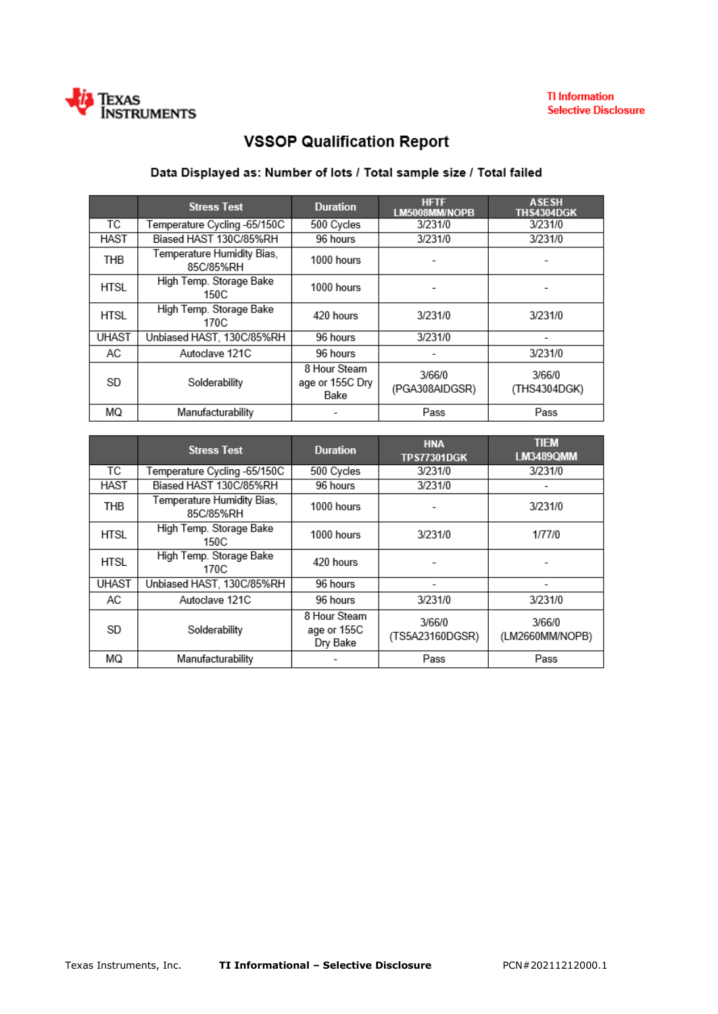

# **VSSOP Qualification Report**

## Data Displayed as: Number of lots / Total sample size / Total failed

|              | <b>Stress Test</b>                      | <b>Duration</b>                         | <b>HFTF</b><br>LM5008MM/NOPB | <b>ASESH</b><br><b>THS4304DGK</b> |
|--------------|-----------------------------------------|-----------------------------------------|------------------------------|-----------------------------------|
| ТC           | Temperature Cycling -65/150C            | 500 Cycles                              | 3/231/0                      | 3/231/0                           |
| <b>HAST</b>  | Biased HAST 130C/85%RH                  | 96 hours                                | 3/231/0                      | 3/231/0                           |
| THB          | Temperature Humidity Bias,<br>85C/85%RH | 1000 hours                              |                              |                                   |
| <b>HTSL</b>  | High Temp. Storage Bake<br>150C         | 1000 hours                              |                              |                                   |
| <b>HTSL</b>  | High Temp. Storage Bake<br>170C         | 420 hours                               | 3/231/0                      | 3/231/0                           |
| <b>UHAST</b> | Unbiased HAST, 130C/85%RH               | 96 hours                                | 3/231/0                      |                                   |
| AC           | Autoclave 121C                          | 96 hours                                |                              | 3/231/0                           |
| SD           | Solderability                           | 8 Hour Steam<br>age or 155C Dry<br>Bake | 3/66/0<br>(PGA308AIDGSR)     | 3/66/0<br>(THS4304DGK)            |
| ΜQ           | Manufacturability                       |                                         | Pass                         | Pass                              |

|              | <b>Stress Test</b>                      | <b>Duration</b>                         | <b>HNA</b><br><b>TPS77301DGK</b> | <b>TIEM</b><br><b>LM3489QMM</b> |
|--------------|-----------------------------------------|-----------------------------------------|----------------------------------|---------------------------------|
| ТC           | Temperature Cycling -65/150C            | 500 Cycles                              | 3/231/0                          | 3/231/0                         |
| <b>HAST</b>  | Biased HAST 130C/85%RH                  | 96 hours                                | 3/231/0                          |                                 |
| <b>THB</b>   | Temperature Humidity Bias,<br>85C/85%RH | 1000 hours                              |                                  | 3/231/0                         |
| <b>HTSL</b>  | High Temp. Storage Bake<br>150C         | 1000 hours                              | 3/231/0                          | 1/77/0                          |
| HTSL         | High Temp. Storage Bake<br>170C         | 420 hours                               |                                  |                                 |
| <b>UHAST</b> | Unbiased HAST, 130C/85%RH               | 96 hours                                |                                  |                                 |
| AC           | Autoclave 121C                          | 96 hours                                | 3/231/0                          | 3/231/0                         |
| SD           | Solderability                           | 8 Hour Steam<br>age or 155C<br>Dry Bake | 3/66/0<br>(TS5A23160DGSR)        | 3/66/0<br>(LM2660MM/NOPB)       |
| ΜQ           | Manufacturability                       |                                         | Pass                             | Pass                            |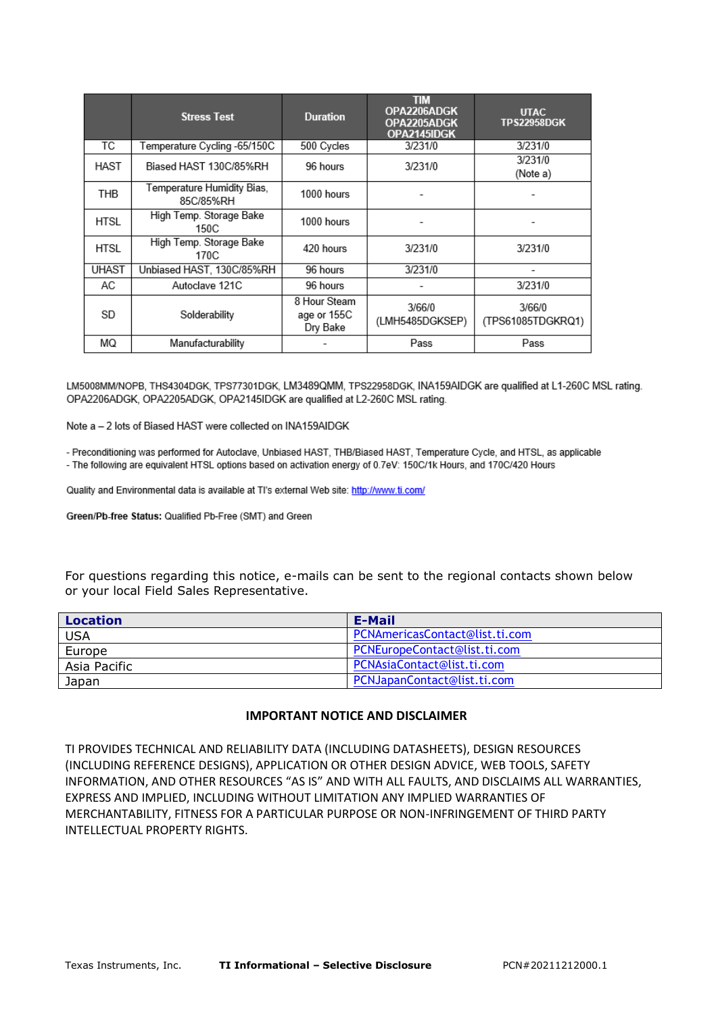|              | <b>Stress Test</b>                      | <b>Duration</b>                         | <b>TIM</b><br>OPA2206ADGK<br>OPA2205ADGK<br>OPA2145IDGK | <b>UTAC</b><br><b>TPS22958DGK</b> |
|--------------|-----------------------------------------|-----------------------------------------|---------------------------------------------------------|-----------------------------------|
| ТC           | Temperature Cycling -65/150C            | 500 Cycles                              | 3/231/0                                                 | 3/231/0                           |
| HAST         | Biased HAST 130C/85%RH                  | 96 hours                                | 3/231/0                                                 | 3/231/0<br>(Note a)               |
| <b>THB</b>   | Temperature Humidity Bias,<br>85C/85%RH | 1000 hours                              |                                                         |                                   |
| HTSL         | High Temp. Storage Bake<br>150C         | 1000 hours                              |                                                         |                                   |
| HTSL         | High Temp. Storage Bake<br>170C         | 420 hours                               | 3/231/0                                                 | 3/231/0                           |
| <b>UHAST</b> | Unbiased HAST, 130C/85%RH               | 96 hours                                | 3/231/0                                                 | $\overline{\phantom{a}}$          |
| AC           | Autoclave 121C                          | 96 hours                                |                                                         | 3/231/0                           |
| SD           | Solderability                           | 8 Hour Steam<br>age or 155C<br>Dry Bake | 3/66/0<br>(LMH5485DGKSEP)                               | 3/66/0<br>(TPS61085TDGKRQ1)       |
| ΜQ           | Manufacturability                       |                                         | Pass                                                    | Pass                              |

LM5008MM/NOPB, THS4304DGK, TPS77301DGK, LM3489QMM, TPS22958DGK, INA159AIDGK are qualified at L1-260C MSL rating. OPA2206ADGK, OPA2205ADGK, OPA2145IDGK are qualified at L2-260C MSL rating.

Note a - 2 lots of Biased HAST were collected on INA159AIDGK

- Preconditioning was performed for Autoclave, Unbiased HAST, THB/Biased HAST, Temperature Cycle, and HTSL, as applicable - The following are equivalent HTSL options based on activation energy of 0.7eV: 150C/1k Hours, and 170C/420 Hours

Quality and Environmental data is available at TI's external Web site: http://www.ti.com/

Green/Pb-free Status: Qualified Pb-Free (SMT) and Green

For questions regarding this notice, e-mails can be sent to the regional contacts shown below or your local Field Sales Representative.

| Location     | E-Mail                         |
|--------------|--------------------------------|
| <b>USA</b>   | PCNAmericasContact@list.ti.com |
| Europe       | PCNEuropeContact@list.ti.com   |
| Asia Pacific | PCNAsiaContact@list.ti.com     |
| Japan        | PCNJapanContact@list.ti.com    |

### **IMPORTANT NOTICE AND DISCLAIMER**

TI PROVIDES TECHNICAL AND RELIABILITY DATA (INCLUDING DATASHEETS), DESIGN RESOURCES (INCLUDING REFERENCE DESIGNS), APPLICATION OR OTHER DESIGN ADVICE, WEB TOOLS, SAFETY INFORMATION, AND OTHER RESOURCES "AS IS" AND WITH ALL FAULTS, AND DISCLAIMS ALL WARRANTIES, EXPRESS AND IMPLIED, INCLUDING WITHOUT LIMITATION ANY IMPLIED WARRANTIES OF MERCHANTABILITY, FITNESS FOR A PARTICULAR PURPOSE OR NON-INFRINGEMENT OF THIRD PARTY INTELLECTUAL PROPERTY RIGHTS.